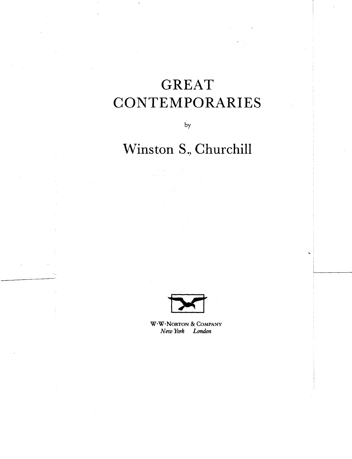*by* 

## Winston S., Churchill



WW NORTON & COMPANY *New York London*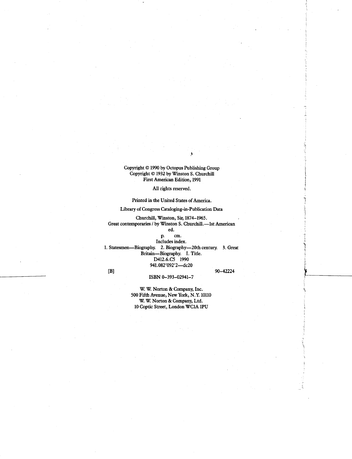#### Copyright © 1990 by Octopus Publishing Group Copyright © 1932 by Winston S. Churchill First American Edition, 1991

J.

#### All rights reserved.

#### Printed in the United States of America.

Library of Congress Cataloging-in-Publication Data

Churchill, Winston, Sir, 1874-1965.

Great contemporaries / by Winston S. Churchill.—lst American ed.

p. cm.

Includes index. 1. Statesmen—Biography. 2. Biography-20th century. 3. Great Britain—Biography. I. Title. D412.6.C5 1990 941.082'092'2—dc2O **[B]** 90-42224

#### ISBN 0-393-02941-7

**W. W.** Norton & Company, Inc. 500 Fifth Avenue, New York, N.Y. 10110 **W. W.** Norton & Company, Ltd. 10 Coptic Street, London WC1A 1PU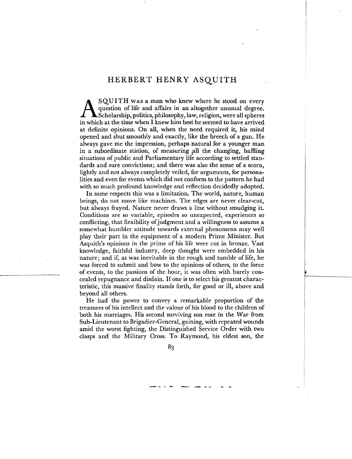### HERBERT HENRY ASQUITH

SQUITH WAS a man who knew where he stood on every question of life and affairs in an altogether unusual degree.<br>Scholarship, politics, philosophy, law, religion, were all spheres<br>in which at the time when I knew him best h SQUITH WAS a man who knew where he stood on every question of life and affairs in an altogether unusual degree. Scholarship, politics, philosophy, law, religion, were all spheres at definite opinions. On all, when the need required it, his mind opened and shut smoothly and exactly, like the breech of a gun. He always gave me the impression, perhaps natural for a younger man in a subordinate station, of measuring all the changing, baffling situations of public and Parliamentary life according to settled standards and sure convictions; and there was also the sense of a scorn, lightly and not always completely veiled, for arguments, for personalities and even for events which did not conform to the pattern he had with so much profound knowledge and reflection decidedly adopted.

In some respects this was a limitation. The world, nature, human beings, do not move like machines. The edges are never clear-cut, but always frayed. Nature never draws a line without smudging it. Conditions are so variable, episodes so unexpected, experiences so conflicting, that flexibility of judgment and a willingness to assume a somewhat humbler attitude towards external phenomena may well play their part in the equipment of a modern Prime Minister. But Asquith's opinions in the prime of his life were cut in bronze. Vast knowledge, faithful industry, deep thought were embedded in his nature; and if, as was inevitable in the rough and tumble of life, he was forced to submit and bow to the opinions of others, to the force of events, to the passions of the hour, it was often with barely concealed repugnance and disdain. If one is to select his greatest characteristic, this massive finality stands forth, for good or ill, above and beyond all others.

He had the power to convey a remarkable proportion of the treasures of his intellect and the valour of his blood to the children of both his marriages. His second surviving son rose in the War from Sub-Lieutenant to Brigadier-General, gaining, with repeated wounds amid the worst fighting, the Distinguished Service Order with two clasps and the Military Cross. To Raymond, his eldest son, the

83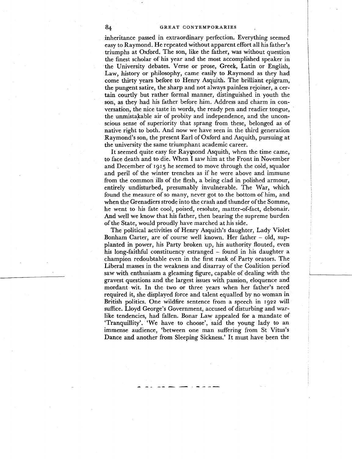inheritance passed in extraordinary perfection. Everything seemed easy to Raymond. He repeated without apparent effort all his father's triumphs at Oxford. The son, like the father, was without question the finest scholar of his year and the most accomplished speaker in the University debates. Verse or prose, Greek, Latin or English, Law, history or philosophy, came easily to Raymond as they had come thirty years before to Henry Asquith. The brilliant epigram, the pungent satire, the sharp and not always painless rejoiner, a certain courtly but rather formal manner, distinguished in youth the son, as they had his father before him. Address and charm in conversation, the nice taste in words, the ready pen and readier tongue, the unmistakable air of probity and independence, and the unconscious sense of superiority that sprang from these, belonged as of native right to both. And now we have seen in the third generation Raymond's son, the present Earl of Oxford and Asquith, pursuing at the university the same triumphant academic career.

It seemed quite easy for Raymond Asquith, when the time came, to face death and to die. When I saw him at the Front in November and December of 1915 he seemed to move through the cold, squalor and peril of the winter trenches as if he were above and immune from the common ills of the flesh, a being clad in polished armour, entirely undisturbed, presumably invulnerable. The War, which found the measure of so many, never got to the bottom of him, and when the Grenadiers strode into the crash and thunder of the Somme, he went to his fate cool, poised, resolute, matter-of-fact, debonair. And well we know that his father, then bearing the supreme burden of the State, would proudly have marched at his side.

The political activities of Henry Asquith's daughter, Lady Violet Bonham Carter, are of course well known. Her father - old, supplanted in power, his Party broken up, his authority flouted, even his long-faithful constituency estranged - found in his daughter a champion redoubtable even in the first rank of Party orators. The Liberal masses in the weakness and disarray of the Coalition period saw with enthusiasm a gleaming figure, capable of dealing with the gravest questions and the largest issues with passion, eloquence and mordant wit. In the two or three years when her father's need required it, she displayed force and talent equalled by no woman in British politics. One wildfire sentence from a speech in 1922 will suffice. Lloyd George's Government, accused of disturbing and warlike tendencies, had fallen. Bonar Law appealed for a mandate of 'Tranquillity'. 'We have to choose', said the young lady to an immense audience, 'between one man suffering from St Vitus's Dance and another from Sleeping Sickness.' It must have been the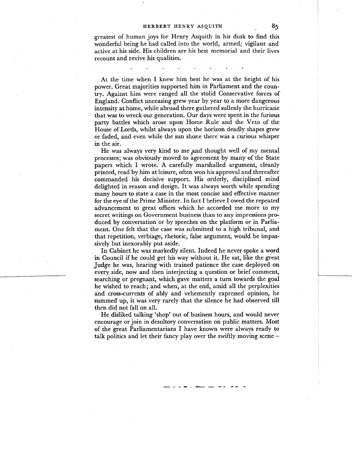greatest of human joys for Henry Asquith in his dusk to find this wonderful being he had called into the world, armed; vigilant and active at his side. His children are his best memorial and their lives recount and revive his qualities.

At the time when I knew him best he was at the height of his power. Great majorities supported him in Parliament and the country. Against him were ranged all the stolid Conservative forces of England. Conflict unceasing grew year by year to a more dangerous intensity at home, while abroad there gathered sullenly the hurricane that was to wreck our generation. Our days were spent in the furious party battles which arose upon Home Rule and the Veto of the House of Lords, whilst always upon the horizon deadly shapes grew or faded, and even while the sun shone there was a curious whisper in the air.

He was always very kind to me and thought well of my mental processes; was obviously moved to agreement by many of the State papers which I wrote. A carefully marshalled argument, cleanly printed, read by him at leisure, often won his approval and thereafter commanded his decisive support. His orderly, disciplined mind delighted in reason and design. It was always worth while spending many hours to state a case in the most concise and effective manner for the eye of the Prime Minister. In fact I believe I owed the repeated advancement to great offices which he accorded me more to my secret writings on Government business than to any impressions produced by conversation or by speeches on the platform or in Parliament. One felt that the case was submitted to a high tribunal, and that repetition, verbiage, rhetoric, false argument, would be impassively but inexorably put aside.

In Cabinet he was markedly silent. Indeed he never spoke a word in Council if he could get his way without it. He sat, like the great Judge he was, hearing with trained patience the case deployed on every side, now and then interjecting a question or brief comment, searching or pregnant, which gave matters a turn towards the goal he wished to reach; and when, at the end, amid all the perplexities and cross-currents of ably and vehemently expressed opinion, he summed up, it was very rarely that the silence he had observed till then did not fall on all.

He disliked talking 'shop' out of business hours, and would never encourage or join in desultory conversation on public matters. Most of the great Parliamentarians I have known were always ready to talk politics and let their fancy play over the swiftly moving scene -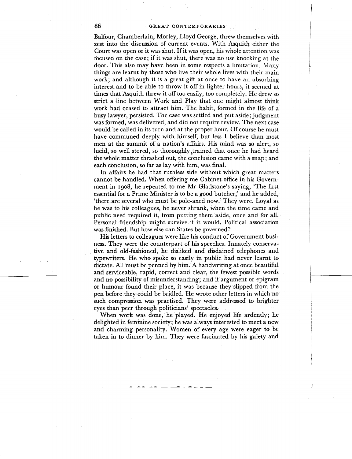Balfour, Chamberlain, Morley, Lloyd George, threw themselves with zest into the discussion of current events. With Asquith either the Court was open or it was shut. If it was open, his whole attention was focused on the case; if it was shut, there was no use knocking at the door. This also may have been in some respects a limitation. Many things are learnt by those who live their whole lives with their main work; and although it is a great gift at once to have an absorbing interest and to be able to throw it off in lighter hours, it seemed at times that Asquith threw it off too easily, too completely. He drew so strict a line between Work and Play that one might almost think work had ceased to attract him. The habit, formed in the life of a busy lawyer, persisted. The case was settled and put aside; judgment was formed, was delivered, and did not require review. The next case would be called in its turn and at the proper hour. Of course he must have communed deeply with himself, but less I believe than most men at the summit of a nation's affairs. His mind was so alert, so lucid, so well stored, so thoroughly trained that once he had heard the whole matter thrashed out, the cnclusion came with a snap; and each conclusion, so far as lay with him, was final.

In affairs he had that ruthless side without which great matters cannot be handled. When offering me Cabinet office in his Government in 1908, he repeated to me Mr Gladstone's saying, 'The first essential for a Prime Minister is to be a good butcher,' and he added, 'there are several who must be pole-axed now.'They were. Loyal as he was to his colleagues, he never shrank, when the time came and public need required it, from putting them aside, once and for all. Personal friendship might survive if it would. Political association was finished. But how else can States be governed?

His letters to colleagues were like his conduct of Government business. They were the counterpart of his speeches. Innately conservative and old-fashioned, he disliked and disdained telephones and typewriters. He who spoke so easily in public had never learnt to dictate. All must be penned by him. A handwriting at once beautiful and serviceable, rapid, correct and clear, the fewest possible words and no possibility of misunderstanding; and if argument or epigram or humour found their place, it was because they slipped from the pen before they could be bridled. He wrote other letters in which no such compression was practised. They were addressed to brighter eyes than peer through politicians' spectacles.

When work was done, he played. He enjoyed life ardently; he delighted in feminine society; he was always interested to meet a new and charming personality. Women of every age were eager to be taken in to dinner by him. They were fascinated by his gaiety and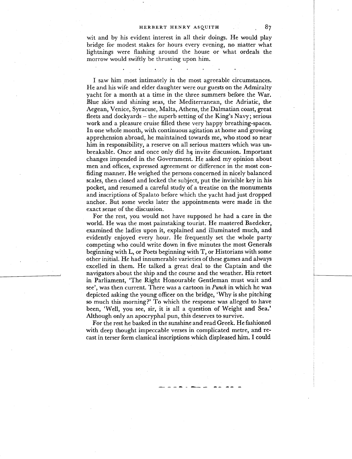#### HERBERT HENRY ASQUITH

wit and by his evident interest in all their doings. He would play bridge for modest stakes for hours every evening, no matter what lightnings were flashing around the house or what ordeals the morrow would swiftly be thrusting upon him.

I saw him most intimately in the most agreeable circumstances. He and his wife and elder daughter were our guests on the Admiralty yacht for a month at a time in the three summers before the War. Blue skies and shining seas, the Mediterranean, the Adriatic, the Aegean, Venice, Syracuse, Malta, Athens, the Dalmatian coast, great fleets and dockyards - the superb setting of the King's Navy; serious work and a pleasure cruise filled these very happy breathing-spaces. In one whole month, with continuous agitation at home and growing apprehension abroad, he maintained towards me, who stood so near him in responsibility, a reserve on all serious matters which was unbreakable. Once and once only did hq invite discussion. Important changes impended in the Government. He asked my opinion about men and offices, expressed agreement or difference in the most confiding manner. He weighed the persons concerned in nicely balanced scales, then closed and locked the subject, put the invisible key in his pocket, and resumed a careful study of a treatise on the monuments and inscriptions of Spalato before which the yacht had just dropped anchor. But some weeks later the appointments were made in the exact sense of the discussion.

For the rest, you would not have supposed he had a care in the world. He was the most painstaking tourist. He mastered Baedeker, examined the ladies upon it, explained and illuminated much, and evidently enjoyed every hour. He frequently set the whole party competing who could write down in five minutes the most Generals beginning with L, or Poets beginning with T, or Historians with some other initial. He had innumerable varieties of these games and always excelled in them. He talked a great deal to the Captain and the navigators about the ship and the course and the weather. His retort in Parliament, 'The Right Honourable Gentleman must wait and see', was then current. There was a cartoon in *Punch* in which he was depicted asking the young officer on the bridge, 'Why is she pitching so much this morning?' To which the response was alleged to have been, 'Well, you see, sir, it is all a question of Weight and Sea.' Although only an apocryphal pun, this deserves to survive.

For the rest he basked in the sunshine and read Greek. He fashioned with deep thought impeccable verses in complicated metre, and recast in terser form classical inscriptions which displeased him. I could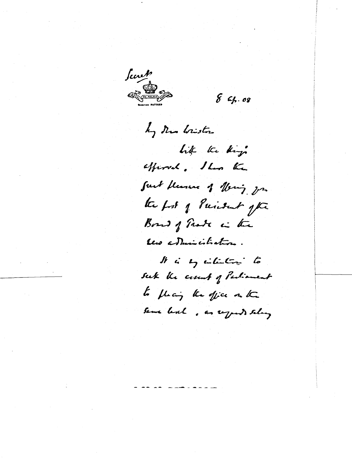

 $84.08$ 

by the briston lik the king"<br>"Afroval", I han the funt there of their you It fort of President ofthe Bond of Frank in the *f,-* **L4Iz. /1 g\_1\_\_,\_ <sup>L</sup>** seek the count of Parliament */Ac.?* Same level , as regards saling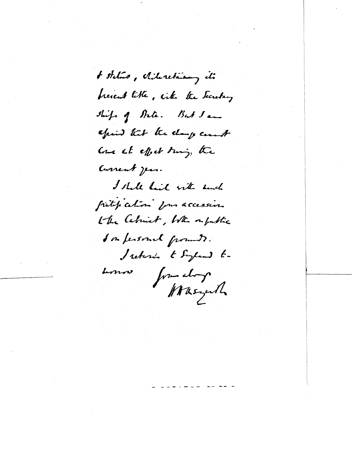**I 14IUJ41.\*.7 i**  hereast table, with the Secretary ships of *Pate.* But I am afind that the change count (dV1.0 IL! *Cj/\$C4* **1tc**  Current year. I shall laid with send prite ation four accessions Like Cabinet, With on fublic In fersonal from D. Ireturn's t Syland E. Lono franchop Wasquill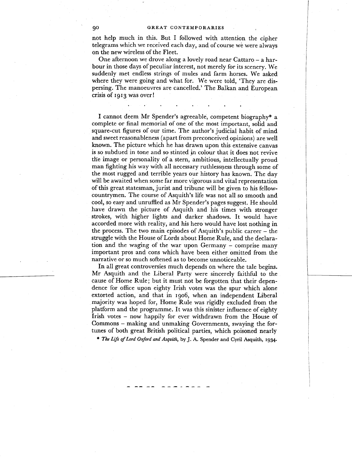not help much in this. But I followed with attention the cipher telegrams which we received each day, and of course we were always on the new wireless of the Fleet.

One afternoon we drove along a lovely road near Cattaro - a harbour in those days of peculiar interest, not merely for its scenery. We suddenly met endless strings of mules and farm horses. We asked where they were going and what for. We were told, 'They are dispersing. The manoeuvres are cancelled.' The Balkan and European crisis of 1913 was over!

I cannot deem Mr Spender's agreeable, competent biography\* a complete or final memorial of one of the most important, solid and square-cut figures of our time. The author's judicial habit of mind and sweet reasonableness (apart from preconceived opinions) are well known. The picture which he has drawn upon this extensive canvas is so subdued in tone and so stinted in colour that it does not revive the image or personality of a stern, ambitious, intellectually proud man fighting his way with all necessary ruthlessness through some of the most rugged and terrible years our history has known. The day will be awaited when some far more vigorous and vital representation of this great statesman, jurist and tribune will be given to his fellowcountrymen. The course of Asquith's life was not all so smooth and cool, so easy and unruffled as Mr Spender's pages suggest. He should have drawn the picture of Asquith and his times with stronger strokes, with higher lights and darker shadows. It would have accorded more with reality, and his hero would have lost nothing in the process. The two main episodes of Asquith's public career - the struggle with the House of Lords about Home Rule, and the declaration and the waging of the war upon Germany - comprise many important pros and cons which have been either omitted from the narrative or so much softened as to become unnoticeable.

In all great controversies much depends on where the tale begins. Mr Asquith and the Liberal Party were sincerely faithful to the cause of Home Rule; but it must not be forgotten that their dependence for office upon eighty Irish votes was the spur which alone extorted action, and that in 1906, when an independent Liberal majority was hoped for, Home Rule was rigidly excluded from the platform and the programme. It was this sinister influence of eighty Irish votes - now happily for ever withdrawn from the House of Commons - making and unmaking Governments, swaying the fortunes of both great British political parties, which poisoned nearly

*\* The Life of Lord Oxford and Asquith, by J.* A. Spender and Cyril Asquith, 1934.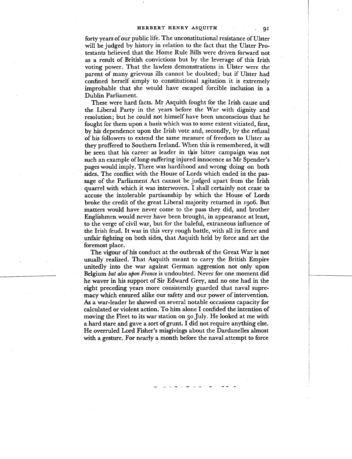#### **HERBERT HENRY ASQUITH 1 91**

forty years of our public life. The unconstitutional resistance of Ulster will be judged by history in relation to the fact that the Ulster Protestants believed that the Home Rule Bills were driven forward not as a result of British convictions but by the leverage of this Irish voting power. That the lawless demonstrations in Ulster were the parent of many grievous ills cannot be doubted; but if Ulster had confined herself simply to constitutional agitation it is extremely improbable that she would have escaped forcible inclusion in a Dublin Parliament.

These were hard facts. Mr Asquith fought for the Irish cause and the Liberal Party in the years before the War with dignity and resolution; but he could not himself have been unconscious that he fought for them upon a basis which was to some extent vitiated, first, by his dependence upon the Irish vote and, secondly, by the refusal of his followers to extend the same measure of freedom to Ulster as they proffered to Southern Ireland. When this is remembered, it will be seen that his career as leader in this bitter campaign was not such an example of long-suffering injured innocence as Mr Spender's pages would imply. There was hardihood and wrong doing on both sides. The conflict with the House of Lords which ended in the passage of the Parliament Act cannot be judged apart from the Irish quarrel with which it was interwoven. I shall certainly not cease to accuse the intolerable partisanship by which the House of Lords broke the credit of the great Liberal majority returned in 1906. But matters would have never come to the pass they did, and brother Englishmen would never have been brought, in appearance at least, to the verge of civil war, but for the baleful, extraneous influence of the Irish feud. It was in this very rough battle, with all its fierce and unfair fighting on both sides, that Asquith held by force and art the foremost place.

The vigour of his conduct at the outbreak of the Great War is not usually realized. That Asquith meant to carry the British Empire unitedly into the war against German aggression not only upon Belgium *but also upon France is* undoubted. Never for one moment did he waver in his support of Sir Edward Grey, and no one had in the eight preceding years more consistently guarded that naval supremacy which ensured alike our safety and our power of intervention. As a war-leader he showed on several notable occasions capacity for calculated or violent action. To him alone I confided the intention of moving the Fleet to its war station on 30 July. He looked at me with a hard stare and gave a sort of grunt. I did not require anything else. He overruled Lord Fisher's misgivings about the Dardanelles almost with a gesture. For nearly a month before the naval attempt to force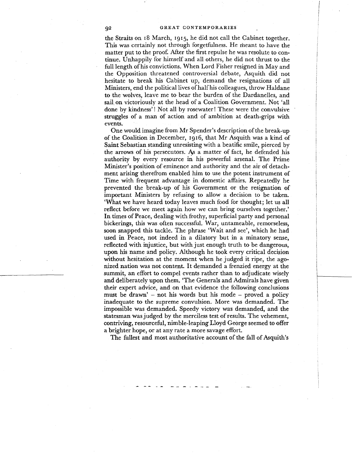the Straits on 18 March, 1915, he did not call the Cabinet together. This was certainly not through forgetfulness. He meant to have the matter put to the proof. After the first repulse he was resolute to continue. Unhappily for himself and all others, he did not thrust to the full length of his convictions. When Lord Fisher resigned in May and the Opposition threatened controversial debate, Asquith did not hesitate to break his Cabinet up, demand the resignations of all Ministers, end the political lives of half his colleagues, throw Haldane to the wolves, leave me to bear the burden of the Dardanelles, and sail, on victoriously at the head of a Coalition Government. Not 'all done by kindness'! Not all by rosewater! These were the convulsive struggles of a man of action and of ambition at death-grips with events.

One would imagine from Mr Spender's description of the break-up of the Coalition in December, 1916, that Mr Asquith was a kind of Saint Sebastian standing unresisting with a beatific smile, pierced by the arrows of his persecutors. As a matter of fact, he defended his authority by every resource in his powerful arsenal. The Prime Minister's position of eminence and authority and the air of detachment arising therefrom enabled him to use the potent instrument of Time with frequent advantage in domestic affairs. Repeatedly he prevented the break-up of his Government or the resignation of important Ministers by refusing to allow a decision to be taken. 'What we have heard today leaves much food for thought; let us all reflect before we meet again how we can bring ourselves together.' In times of Peace, dealing with frothy, superficial party and personal bickerings, this was often successful. War, untameable, remorseless, soon snapped this tackle. The phrase 'Wait and see', which he had used in Peace, not indeed in a dilatory but in a minatory sense, reflected with injustice, but with just enough truth to be dangerous, upon his name and policy. Although he took every critical decision without hesitation at the moment when he judged it ripe, the agonized nation was not content. It demanded a frenzied energy at the summit, an effort to compel events rather than to adjudicate wisely and deliberately upon them. 'The Generals and Admirals have given their expert advice, and on that evidence the following conclusions must be drawn'  $-$  not his words but his mode  $-$  proved a policy inadequate to the supreme convulsion. More was demanded. The impossible was demanded. Speedy victory was demanded, and the statesman was judged by the merciless test of results. The vehement, contriving, resourceful, nimble-leaping Lloyd George seemed to offer a brighter hope, or at any rate a more savage effort.

The fullest and most authoritative account of the fall of Asquith's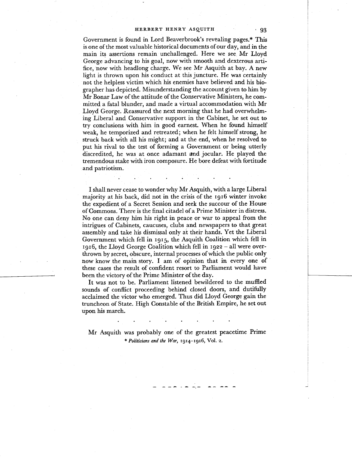#### HERBERT HENRY ASQUITH 93

Government is found in Lord Beaverbrook's revealing pages.\* This is one of the most valuable historical documents of our day, and in the main its assertions remain unchallenged. Here we see Mr Lloyd George advancing to his goal, now with smooth and dexterous artifice, now with headlong charge. We see Mr Asquith at bay. A new light is thrown upon his conduct at this juncture. He was certainly not the helpless victim which his enemies have believed and his biographer has depicted. Misunderstanding the account given to him by Mr Bonar Law of the attitude of the Conservative Ministers, he committed a fatal blunder, and made a virtual accommodation with Mr Lloyd George. Reassured the next morning that he had overwhelming Liberal and Conservative support in the Cabinet, he set out to try conclusions with him in good earnest. When he found himself weak, he temporized and retreated; when he felt himself strong, he struck back with all his might; and at the end, when he resolved to put his rival to the test of forming a Government or being utterly discredited, he was at once adamant and jocular. He played the tremendous stake with iron composure. He bore defeat with fortitude and patriotism.

I shall never cease to wonder why Mr Asquith, with a large Liberal majority at his back, did not in the crisis of the 1916 winter invoke the expedient of a Secret Session and seek the succour of the House of Commons. There is the final citadel of a Prime Minister in distress. No one can deny him his right in peace or war to appeal from the intrigues of Cabinets, caucuses, clubs and newspapers to that great assembly and take his dismissal only at their hands. Yet the Liberal Government which fell in 1915, the Asquith Coalition which fell in 1916, the Lloyd George Coalition which fell in 1922 - all were overthrown by secret, obscure, internal processes of which the public only now know the main story. I am of opinion that in every one of these cases the result of confident resort to Parliament would have been the victory of the Prime Minister of the day.

It was not to be. Parliament listened bewildered to the muffled sounds of conflict proceeding behind closed doors, and dutifully acclaimed the victor who emerged. Thus did Lloyd George gain the truncheon of State. High Constable of the British Empire, he set out upon his march.

Mr Asquith was probably one of the greatest peacetime Prime *\* Politicians and the War, 1914-1916, Vol.* 2.